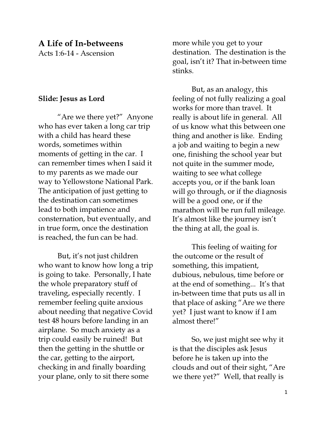# A Life of In-betweens

Acts 1:6-14 - Ascension

### Slide: Jesus as Lord

"Are we there yet?" Anyone who has ever taken a long car trip with a child has heard these words, sometimes within moments of getting in the car. I can remember times when I said it to my parents as we made our way to Yellowstone National Park. The anticipation of just getting to the destination can sometimes lead to both impatience and consternation, but eventually, and in true form, once the destination is reached, the fun can be had.

 But, it's not just children who want to know how long a trip is going to take. Personally, I hate the whole preparatory stuff of traveling, especially recently. I remember feeling quite anxious about needing that negative Covid test 48 hours before landing in an airplane. So much anxiety as a trip could easily be ruined! But then the getting in the shuttle or the car, getting to the airport, checking in and finally boarding your plane, only to sit there some

more while you get to your destination. The destination is the goal, isn't it? That in-between time stinks.

 But, as an analogy, this feeling of not fully realizing a goal works for more than travel. It really is about life in general. All of us know what this between one thing and another is like. Ending a job and waiting to begin a new one, finishing the school year but not quite in the summer mode, waiting to see what college accepts you, or if the bank loan will go through, or if the diagnosis will be a good one, or if the marathon will be run full mileage. It's almost like the journey isn't the thing at all, the goal is.

This feeling of waiting for the outcome or the result of something, this impatient, dubious, nebulous, time before or at the end of something... It's that in-between time that puts us all in that place of asking "Are we there yet? I just want to know if I am almost there!"

So, we just might see why it is that the disciples ask Jesus before he is taken up into the clouds and out of their sight, "Are we there yet?" Well, that really is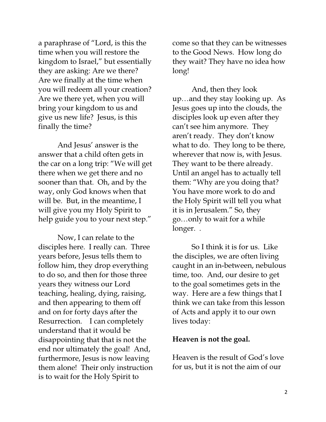a paraphrase of "Lord, is this the time when you will restore the kingdom to Israel," but essentially they are asking: Are we there? Are we finally at the time when you will redeem all your creation? Are we there yet, when you will bring your kingdom to us and give us new life? Jesus, is this finally the time?

And Jesus' answer is the answer that a child often gets in the car on a long trip: "We will get there when we get there and no sooner than that. Oh, and by the way, only God knows when that will be. But, in the meantime, I will give you my Holy Spirit to help guide you to your next step."

Now, I can relate to the disciples here. I really can. Three years before, Jesus tells them to follow him, they drop everything to do so, and then for those three years they witness our Lord teaching, healing, dying, raising, and then appearing to them off and on for forty days after the Resurrection. I can completely understand that it would be disappointing that that is not the end nor ultimately the goal! And, furthermore, Jesus is now leaving them alone! Their only instruction is to wait for the Holy Spirit to

come so that they can be witnesses to the Good News. How long do they wait? They have no idea how long!

And, then they look up…and they stay looking up. As Jesus goes up into the clouds, the disciples look up even after they can't see him anymore. They aren't ready. They don't know what to do. They long to be there, wherever that now is, with Jesus. They want to be there already. Until an angel has to actually tell them: "Why are you doing that? You have more work to do and the Holy Spirit will tell you what it is in Jerusalem." So, they go…only to wait for a while longer. .

So I think it is for us. Like the disciples, we are often living caught in an in-between, nebulous time, too. And, our desire to get to the goal sometimes gets in the way. Here are a few things that I think we can take from this lesson of Acts and apply it to our own lives today:

#### Heaven is not the goal.

Heaven is the result of God's love for us, but it is not the aim of our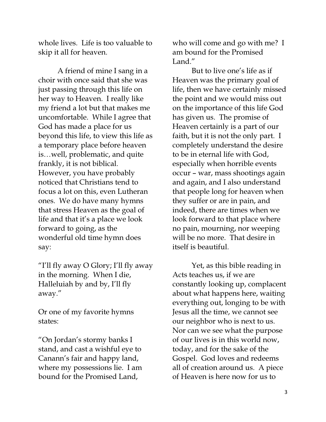whole lives. Life is too valuable to skip it all for heaven.

 A friend of mine I sang in a choir with once said that she was just passing through this life on her way to Heaven. I really like my friend a lot but that makes me uncomfortable. While I agree that God has made a place for us beyond this life, to view this life as a temporary place before heaven is…well, problematic, and quite frankly, it is not biblical. However, you have probably noticed that Christians tend to focus a lot on this, even Lutheran ones. We do have many hymns that stress Heaven as the goal of life and that it's a place we look forward to going, as the wonderful old time hymn does say:

"I'll fly away O Glory; I'll fly away in the morning. When I die, Halleluiah by and by, I'll fly away."

Or one of my favorite hymns states:

"On Jordan's stormy banks I stand, and cast a wishful eye to Canann's fair and happy land, where my possessions lie. I am bound for the Promised Land,

who will come and go with me? I am bound for the Promised Land<sup>"</sup>

But to live one's life as if Heaven was the primary goal of life, then we have certainly missed the point and we would miss out on the importance of this life God has given us. The promise of Heaven certainly is a part of our faith, but it is not the only part. I completely understand the desire to be in eternal life with God, especially when horrible events occur – war, mass shootings again and again, and I also understand that people long for heaven when they suffer or are in pain, and indeed, there are times when we look forward to that place where no pain, mourning, nor weeping will be no more. That desire in itself is beautiful.

Yet, as this bible reading in Acts teaches us, if we are constantly looking up, complacent about what happens here, waiting everything out, longing to be with Jesus all the time, we cannot see our neighbor who is next to us. Nor can we see what the purpose of our lives is in this world now, today, and for the sake of the Gospel. God loves and redeems all of creation around us. A piece of Heaven is here now for us to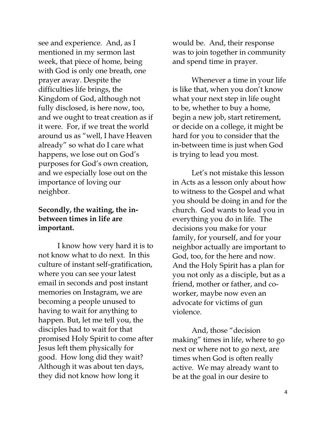see and experience. And, as I mentioned in my sermon last week, that piece of home, being with God is only one breath, one prayer away. Despite the difficulties life brings, the Kingdom of God, although not fully disclosed, is here now, too, and we ought to treat creation as if it were. For, if we treat the world around us as "well, I have Heaven already" so what do I care what happens, we lose out on God's purposes for God's own creation, and we especially lose out on the importance of loving our neighbor.

# Secondly, the waiting, the inbetween times in life are important.

I know how very hard it is to not know what to do next. In this culture of instant self-gratification, where you can see your latest email in seconds and post instant memories on Instagram, we are becoming a people unused to having to wait for anything to happen. But, let me tell you, the disciples had to wait for that promised Holy Spirit to come after Jesus left them physically for good. How long did they wait? Although it was about ten days, they did not know how long it

would be. And, their response was to join together in community and spend time in prayer.

 Whenever a time in your life is like that, when you don't know what your next step in life ought to be, whether to buy a home, begin a new job, start retirement, or decide on a college, it might be hard for you to consider that the in-between time is just when God is trying to lead you most.

 Let's not mistake this lesson in Acts as a lesson only about how to witness to the Gospel and what you should be doing in and for the church. God wants to lead you in everything you do in life. The decisions you make for your family, for yourself, and for your neighbor actually are important to God, too, for the here and now. And the Holy Spirit has a plan for you not only as a disciple, but as a friend, mother or father, and coworker, maybe now even an advocate for victims of gun violence.

And, those "decision making" times in life, where to go next or where not to go next, are times when God is often really active. We may already want to be at the goal in our desire to